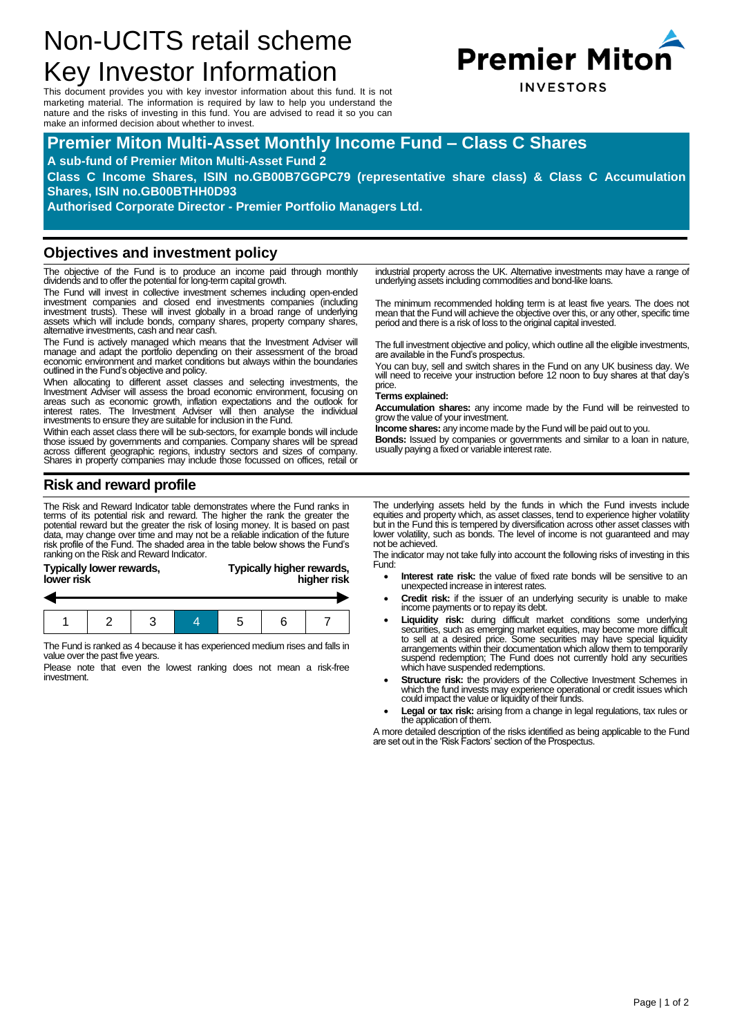# Non-UCITS retail scheme Key Investor Information

This document provides you with key investor information about this fund. It is not marketing material. The information is required by law to help you understand the nature and the risks of investing in this fund. You are advised to read it so you can make an informed decision about whether to invest.

# **Premier Miton Multi-Asset Monthly Income Fund – Class C Shares**

#### **A sub-fund of Premier Miton Multi-Asset Fund 2**

**Class C Income Shares, ISIN no.GB00B7GGPC79 (representative share class) & Class C Accumulation Shares, ISIN no.GB00BTHH0D93**

**Authorised Corporate Director - Premier Portfolio Managers Ltd.**

#### **Objectives and investment policy**

The objective of the Fund is to produce an income paid through monthly dividends and to offer the potential for long-term capital growth.

The Fund will invest in collective investment schemes including open-ended investment companies and closed end investments companies (including investment trusts). These will invest globally in a broad range of underlying assets which will include bonds, company shares, property company shares, alternative investments, cash and near cash.

The Fund is actively managed which means that the Investment Adviser will manage and adapt the portfolio depending on their assessment of the broad economic environment and market conditions but always within the boundaries outlined in the Fund's objective and policy.

When allocating to different asset classes and selecting investments, the Investment Adviser will assess the broad economic environment, focusing on areas such as economic growth, inflation expectations and the outlook for interest rates. The Investment Adviser will then analyse the individual investments to ensure they are suitable for inclusion in the Fund.

Within each asset class there will be sub-sectors, for example bonds will include those issued by governments and companies. Company shares will be spread across different geographic regions, industry sectors and sizes of company. Shares in property companies may include those focussed on offices, retail or

## **Risk and reward profile**

The Risk and Reward Indicator table demonstrates where the Fund ranks in terms of its potential risk and reward. The higher the rank the greater the<br>potential reward but the greater the risk of losing money. It is based on past<br>data, may change over time and may not be a reliable indication of risk profile of the Fund. The shaded area in the table below shows the Fund's ranking on the Risk and Reward Indicator.

| lower risk | Typically lower rewards, |  | Typically higher rewards, | higher risk |  |  |  |  |
|------------|--------------------------|--|---------------------------|-------------|--|--|--|--|
|            |                          |  |                           |             |  |  |  |  |
|            |                          |  |                           |             |  |  |  |  |

The Fund is ranked as 4 because it has experienced medium rises and falls in value over the past five years.

Please note that even the lowest ranking does not mean a risk-free investment.

industrial property across the UK. Alternative investments may have a range of underlying assets including commodities and bond-like loans.

The minimum recommended holding term is at least five years. The does not mean that the Fund will achieve the objective over this, or any other, specific time period and there is a risk of loss to the original capital invested.

The full investment objective and policy, which outline all the eligible investments, are available in the Fund's prospectus.

You can buy, sell and switch shares in the Fund on any UK business day. We will need to receive your instruction before 12 noon to buy shares at that day's price.

#### **Terms explained:**

**Accumulation shares:** any income made by the Fund will be reinvested to grow the value of your investment.

**Income shares:** any income made by the Fund will be paid out to you.

**Bonds:** Issued by companies or governments and similar to a loan in nature, usually paying a fixed or variable interest rate.

The underlying assets held by the funds in which the Fund invests include equities and property which, as asset classes, tend to experience higher volatility but in the Fund this is tempered by diversification across other asset classes with lower volatility, such as bonds. The level of income is not guaranteed and may not be achieved.

The indicator may not take fully into account the following risks of investing in this Fund:

- **Interest rate risk:** the value of fixed rate bonds will be sensitive to an unexpected increase in interest rates.
- **Credit risk:** if the issuer of an underlying security is unable to make income payments or to repay its debt.
- **Liquidity risk:** during difficult market conditions some underlying securities, such as emerging market equities, may become more difficult to sell at a desired price. Some securities may have special liquidity arrangements within their documentation which allow them to temporarily suspend redemption; The Fund does not currently hold any securities which have suspended redemptions.
- **Structure risk:** the providers of the Collective Investment Schemes in which the fund invests may experience operational or credit issues which could impact the value or liquidity of their funds.
- **Legal or tax risk:** arising from a change in legal regulations, tax rules or the application of them.

A more detailed description of the risks identified as being applicable to the Fund are set out in the 'Risk Factors' section of the Prospectus.